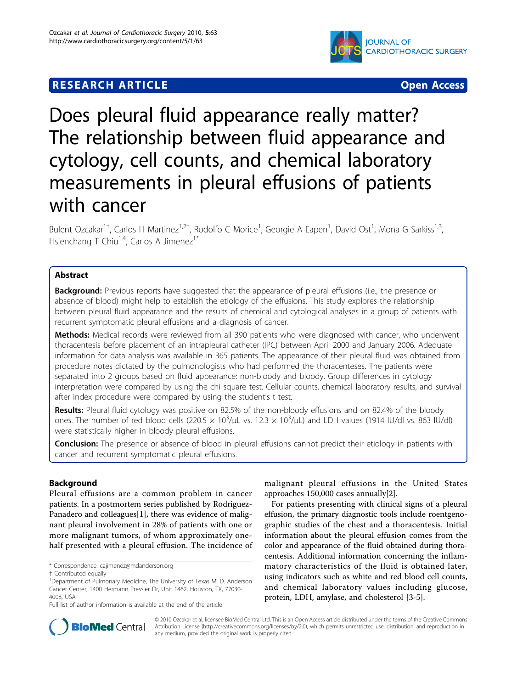## **RESEARCH ARTICLE Example 2018 12:00 Department of the Contract Open Access**



# Does pleural fluid appearance really matter? The relationship between fluid appearance and cytology, cell counts, and chemical laboratory measurements in pleural effusions of patients with cancer

Bulent Ozcakar<sup>1†</sup>, Carlos H Martinez<sup>1,2†</sup>, Rodolfo C Morice<sup>1</sup>, Georgie A Eapen<sup>1</sup>, David Ost<sup>1</sup>, Mona G Sarkiss<sup>1,3</sup>, Hsienchang T Chiu<sup>1,4</sup>, Carlos A Jimenez<sup>1\*</sup>

## Abstract

**Background:** Previous reports have suggested that the appearance of pleural effusions (i.e., the presence or absence of blood) might help to establish the etiology of the effusions. This study explores the relationship between pleural fluid appearance and the results of chemical and cytological analyses in a group of patients with recurrent symptomatic pleural effusions and a diagnosis of cancer.

Methods: Medical records were reviewed from all 390 patients who were diagnosed with cancer, who underwent thoracentesis before placement of an intrapleural catheter (IPC) between April 2000 and January 2006. Adequate information for data analysis was available in 365 patients. The appearance of their pleural fluid was obtained from procedure notes dictated by the pulmonologists who had performed the thoracenteses. The patients were separated into 2 groups based on fluid appearance: non-bloody and bloody. Group differences in cytology interpretation were compared by using the chi square test. Cellular counts, chemical laboratory results, and survival after index procedure were compared by using the student's t test.

Results: Pleural fluid cytology was positive on 82.5% of the non-bloody effusions and on 82.4% of the bloody ones. The number of red blood cells (220.5  $\times$  10<sup>3</sup>/µL vs. 12.3  $\times$  10<sup>3</sup>/µL) and LDH values (1914 IU/dl vs. 863 IU/dl) were statistically higher in bloody pleural effusions.

**Conclusion:** The presence or absence of blood in pleural effusions cannot predict their etiology in patients with cancer and recurrent symptomatic pleural effusions.

## Background

Pleural effusions are a common problem in cancer patients. In a postmortem series published by Rodriguez-Panadero and colleagues[[1\]](#page-3-0), there was evidence of malignant pleural involvement in 28% of patients with one or more malignant tumors, of whom approximately onehalf presented with a pleural effusion. The incidence of malignant pleural effusions in the United States approaches 150,000 cases annually[\[2\]](#page-3-0).

For patients presenting with clinical signs of a pleural effusion, the primary diagnostic tools include roentgenographic studies of the chest and a thoracentesis. Initial information about the pleural effusion comes from the color and appearance of the fluid obtained during thoracentesis. Additional information concerning the inflammatory characteristics of the fluid is obtained later, using indicators such as white and red blood cell counts, and chemical laboratory values including glucose, protein, LDH, amylase, and cholesterol [\[3](#page-3-0)-[5](#page-3-0)].



© 2010 Ozcakar et al; licensee BioMed Central Ltd. This is an Open Access article distributed under the terms of the Creative Commons Attribution License [\(http://creativecommons.org/licenses/by/2.0](http://creativecommons.org/licenses/by/2.0)), which permits unrestricted use, distribution, and reproduction in any medium, provided the original work is properly cited.

<sup>\*</sup> Correspondence: [cajimenez@mdanderson.org](mailto:cajimenez@mdanderson.org)

<sup>†</sup> Contributed equally <sup>1</sup>

<sup>&</sup>lt;sup>1</sup>Department of Pulmonary Medicine, The University of Texas M. D. Anderson Cancer Center, 1400 Hermann Pressler Dr, Unit 1462, Houston, TX, 77030- 4008, USA

Full list of author information is available at the end of the article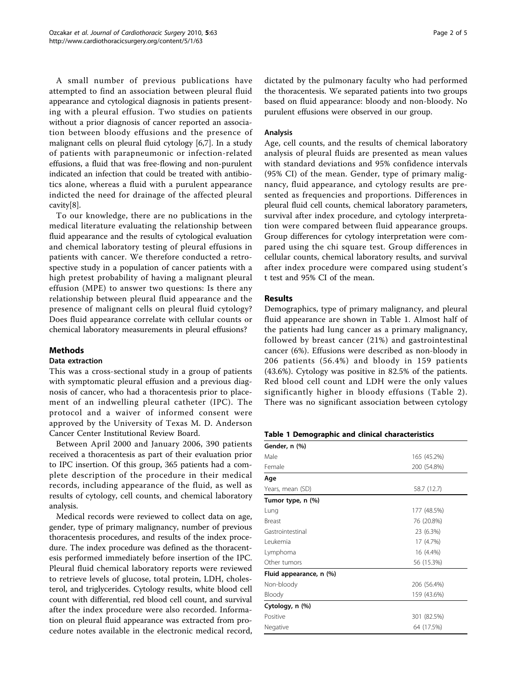A small number of previous publications have attempted to find an association between pleural fluid appearance and cytological diagnosis in patients presenting with a pleural effusion. Two studies on patients without a prior diagnosis of cancer reported an association between bloody effusions and the presence of malignant cells on pleural fluid cytology [[6](#page-3-0),[7\]](#page-3-0). In a study of patients with parapneumonic or infection-related effusions, a fluid that was free-flowing and non-purulent indicated an infection that could be treated with antibiotics alone, whereas a fluid with a purulent appearance indicted the need for drainage of the affected pleural cavity[\[8\]](#page-4-0).

To our knowledge, there are no publications in the medical literature evaluating the relationship between fluid appearance and the results of cytological evaluation and chemical laboratory testing of pleural effusions in patients with cancer. We therefore conducted a retrospective study in a population of cancer patients with a high pretest probability of having a malignant pleural effusion (MPE) to answer two questions: Is there any relationship between pleural fluid appearance and the presence of malignant cells on pleural fluid cytology? Does fluid appearance correlate with cellular counts or chemical laboratory measurements in pleural effusions?

### Methods

#### Data extraction

This was a cross-sectional study in a group of patients with symptomatic pleural effusion and a previous diagnosis of cancer, who had a thoracentesis prior to placement of an indwelling pleural catheter (IPC). The protocol and a waiver of informed consent were approved by the University of Texas M. D. Anderson Cancer Center Institutional Review Board.

Between April 2000 and January 2006, 390 patients received a thoracentesis as part of their evaluation prior to IPC insertion. Of this group, 365 patients had a complete description of the procedure in their medical records, including appearance of the fluid, as well as results of cytology, cell counts, and chemical laboratory analysis.

Medical records were reviewed to collect data on age, gender, type of primary malignancy, number of previous thoracentesis procedures, and results of the index procedure. The index procedure was defined as the thoracentesis performed immediately before insertion of the IPC. Pleural fluid chemical laboratory reports were reviewed to retrieve levels of glucose, total protein, LDH, cholesterol, and triglycerides. Cytology results, white blood cell count with differential, red blood cell count, and survival after the index procedure were also recorded. Information on pleural fluid appearance was extracted from procedure notes available in the electronic medical record, dictated by the pulmonary faculty who had performed the thoracentesis. We separated patients into two groups based on fluid appearance: bloody and non-bloody. No purulent effusions were observed in our group.

#### Analysis

Age, cell counts, and the results of chemical laboratory analysis of pleural fluids are presented as mean values with standard deviations and 95% confidence intervals (95% CI) of the mean. Gender, type of primary malignancy, fluid appearance, and cytology results are presented as frequencies and proportions. Differences in pleural fluid cell counts, chemical laboratory parameters, survival after index procedure, and cytology interpretation were compared between fluid appearance groups. Group differences for cytology interpretation were compared using the chi square test. Group differences in cellular counts, chemical laboratory results, and survival after index procedure were compared using student's t test and 95% CI of the mean.

### Results

Demographics, type of primary malignancy, and pleural fluid appearance are shown in Table 1. Almost half of the patients had lung cancer as a primary malignancy, followed by breast cancer (21%) and gastrointestinal cancer (6%). Effusions were described as non-bloody in 206 patients (56.4%) and bloody in 159 patients (43.6%). Cytology was positive in 82.5% of the patients. Red blood cell count and LDH were the only values significantly higher in bloody effusions (Table [2\)](#page-2-0). There was no significant association between cytology

| Gender, n (%)           |             |  |  |  |
|-------------------------|-------------|--|--|--|
| Male                    | 165 (45.2%) |  |  |  |
| Female                  | 200 (54.8%) |  |  |  |
| Age                     |             |  |  |  |
| Years, mean (SD)        | 58.7 (12.7) |  |  |  |
| Tumor type, n (%)       |             |  |  |  |
| Lung                    | 177 (48.5%) |  |  |  |
| Breast                  | 76 (20.8%)  |  |  |  |
| Gastrointestinal        | 23 (6.3%)   |  |  |  |
| Leukemia                | 17 (4.7%)   |  |  |  |
| Lymphoma                | 16 (4.4%)   |  |  |  |
| Other tumors            | 56 (15.3%)  |  |  |  |
| Fluid appearance, n (%) |             |  |  |  |
| Non-bloody              | 206 (56.4%) |  |  |  |
| Bloody                  | 159 (43.6%) |  |  |  |
| Cytology, n (%)         |             |  |  |  |
| Positive                | 301 (82.5%) |  |  |  |
| Negative                | 64 (17.5%)  |  |  |  |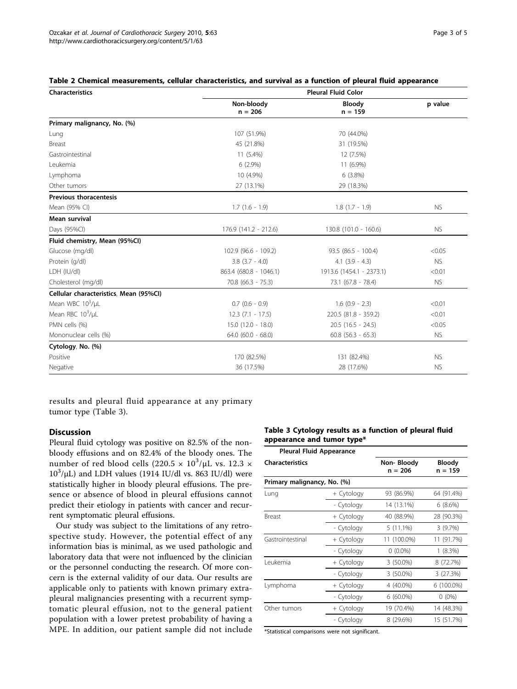<span id="page-2-0"></span>

| Table 2 Chemical measurements, cellular characteristics, and survival as a function of pleural fluid appearance |  |  |  |
|-----------------------------------------------------------------------------------------------------------------|--|--|--|
|-----------------------------------------------------------------------------------------------------------------|--|--|--|

| <b>Characteristics</b>                 | <b>Pleural Fluid Color</b> |                            |           |
|----------------------------------------|----------------------------|----------------------------|-----------|
|                                        | Non-bloody<br>$n = 206$    | <b>Bloody</b><br>$n = 159$ | p value   |
| Primary malignancy, No. (%)            |                            |                            |           |
| Lung                                   | 107 (51.9%)                | 70 (44.0%)                 |           |
| Breast                                 | 45 (21.8%)                 | 31 (19.5%)                 |           |
| Gastrointestinal                       | 11 (5.4%)                  | 12 (7.5%)                  |           |
| Leukemia                               | $6(2.9\%)$                 | 11 (6.9%)                  |           |
| Lymphoma                               | 10 (4.9%)                  | 6(3.8%)                    |           |
| Other tumors                           | 27 (13.1%)                 | 29 (18.3%)                 |           |
| <b>Previous thoracentesis</b>          |                            |                            |           |
| Mean (95% CI)                          | $1.7(1.6 - 1.9)$           | $1.8(1.7 - 1.9)$           | <b>NS</b> |
| Mean survival                          |                            |                            |           |
| Days (95%Cl)                           | 176.9 (141.2 - 212.6)      | 130.8 (101.0 - 160.6)      | <b>NS</b> |
| Fluid chemistry, Mean (95%Cl)          |                            |                            |           |
| Glucose (mg/dl)                        | 102.9 (96.6 - 109.2)       | 93.5 (86.5 - 100.4)        | < 0.05    |
| Protein (g/dl)                         | $3.8$ $(3.7 - 4.0)$        | $4.1$ $(3.9 - 4.3)$        | <b>NS</b> |
| LDH (IU/dl)                            | 863.4 (680.8 - 1046.1)     | 1913.6 (1454.1 - 2373.1)   | < 0.01    |
| Cholesterol (mg/dl)                    | $70.8$ (66.3 - 75.3)       | 73.1 (67.8 - 78.4)         | <b>NS</b> |
| Cellular characteristics, Mean (95%Cl) |                            |                            |           |
| Mean WBC 10 <sup>3</sup> /µL           | $0.7$ (0.6 - 0.9)          | $1.6$ (0.9 - 2.3)          | < 0.01    |
| Mean RBC 10 <sup>3</sup> /µL           | $12.3$ (7.1 - 17.5)        | 220.5 (81.8 - 359.2)       | < 0.01    |
| PMN cells (%)                          | $15.0$ $(12.0 - 18.0)$     | $20.5$ (16.5 - 24.5)       | < 0.05    |
| Mononuclear cells (%)                  | $64.0$ $(60.0 - 68.0)$     | $60.8$ (56.3 - 65.3)       | <b>NS</b> |
| Cytology, No. (%)                      |                            |                            |           |
| Positive                               | 170 (82.5%)                | 131 (82.4%)                | <b>NS</b> |
| Negative                               | 36 (17.5%)                 | 28 (17.6%)                 | <b>NS</b> |

results and pleural fluid appearance at any primary tumor type (Table 3).

## Discussion

Pleural fluid cytology was positive on 82.5% of the nonbloody effusions and on 82.4% of the bloody ones. The number of red blood cells (220.5  $\times$   $10^3/\mu$ L vs. 12.3  $\times$  $10^3/\mu$ L) and LDH values (1914 IU/dl vs. 863 IU/dl) were statistically higher in bloody pleural effusions. The presence or absence of blood in pleural effusions cannot predict their etiology in patients with cancer and recurrent symptomatic pleural effusions.

Our study was subject to the limitations of any retrospective study. However, the potential effect of any information bias is minimal, as we used pathologic and laboratory data that were not influenced by the clinician or the personnel conducting the research. Of more concern is the external validity of our data. Our results are applicable only to patients with known primary extrapleural malignancies presenting with a recurrent symptomatic pleural effusion, not to the general patient population with a lower pretest probability of having a MPE. In addition, our patient sample did not include

## Table 3 Cytology results as a function of pleural fluid appearance and tumor type\*

| Pleural Fluid Appearance    |            |                         |                   |  |
|-----------------------------|------------|-------------------------|-------------------|--|
| <b>Characteristics</b>      |            | Non-Bloody<br>$n = 206$ | Bloody<br>n = 159 |  |
| Primary malignancy, No. (%) |            |                         |                   |  |
| Lung                        | + Cytology | 93 (86.9%)              | 64 (91.4%)        |  |
|                             | - Cytology | 14 (13.1%)              | $6(8.6\%)$        |  |
| <b>Breast</b>               | + Cytology | 40 (88.9%)              | 28 (90.3%)        |  |
|                             | - Cytology | $5(11.1\%)$             | 3(9.7%)           |  |
| Gastrointestinal            | + Cytology | 11 (100.0%)             | 11 (91.7%)        |  |
|                             | - Cytology | $0(0.0\%)$              | $1(8.3\%)$        |  |
| Leukemia                    | + Cytology | 3 (50.0%)               | 8 (72.7%)         |  |
|                             | - Cytology | 3 (50.0%)               | 3 (27.3%)         |  |
| Lymphoma                    | + Cytology | 4 (40.0%)               | 6 (100.0%)        |  |
|                             | - Cytology | 6 (60.0%)               | $0(0\%)$          |  |
| Other tumors                | + Cytology | 19 (70.4%)              | 14 (48.3%)        |  |
|                             | - Cytology | 8 (29.6%)               | 15 (51.7%)        |  |

\*Statistical comparisons were not significant.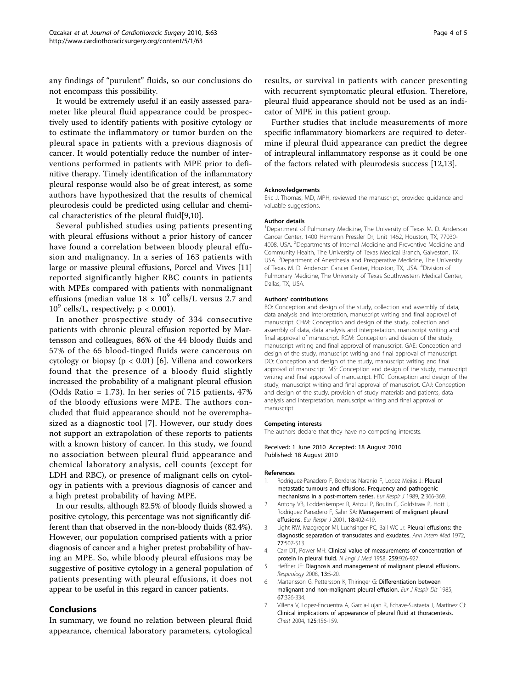<span id="page-3-0"></span>any findings of "purulent" fluids, so our conclusions do not encompass this possibility.

It would be extremely useful if an easily assessed parameter like pleural fluid appearance could be prospectively used to identify patients with positive cytology or to estimate the inflammatory or tumor burden on the pleural space in patients with a previous diagnosis of cancer. It would potentially reduce the number of interventions performed in patients with MPE prior to definitive therapy. Timely identification of the inflammatory pleural response would also be of great interest, as some authors have hypothesized that the results of chemical pleurodesis could be predicted using cellular and chemical characteristics of the pleural fluid[\[9,10](#page-4-0)].

Several published studies using patients presenting with pleural effusions without a prior history of cancer have found a correlation between bloody pleural effusion and malignancy. In a series of 163 patients with large or massive pleural effusions, Porcel and Vives [[11](#page-4-0)] reported significantly higher RBC counts in patients with MPEs compared with patients with nonmalignant effusions (median value  $18 \times 10^9$  cells/L versus 2.7 and  $10^9$  cells/L, respectively;  $p < 0.001$ ).

In another prospective study of 334 consecutive patients with chronic pleural effusion reported by Martensson and colleagues, 86% of the 44 bloody fluids and 57% of the 65 blood-tinged fluids were cancerous on cytology or biopsy (p < 0.01) [6]. Villena and coworkers found that the presence of a bloody fluid slightly increased the probability of a malignant pleural effusion (Odds Ratio = 1.73). In her series of 715 patients,  $47\%$ of the bloody effusions were MPE. The authors concluded that fluid appearance should not be overemphasized as a diagnostic tool [7]. However, our study does not support an extrapolation of these reports to patients with a known history of cancer. In this study, we found no association between pleural fluid appearance and chemical laboratory analysis, cell counts (except for LDH and RBC), or presence of malignant cells on cytology in patients with a previous diagnosis of cancer and a high pretest probability of having MPE.

In our results, although 82.5% of bloody fluids showed a positive cytology, this percentage was not significantly different than that observed in the non-bloody fluids (82.4%). However, our population comprised patients with a prior diagnosis of cancer and a higher pretest probability of having an MPE. So, while bloody pleural effusions may be suggestive of positive cytology in a general population of patients presenting with pleural effusions, it does not appear to be useful in this regard in cancer patients.

#### Conclusions

In summary, we found no relation between pleural fluid appearance, chemical laboratory parameters, cytological results, or survival in patients with cancer presenting with recurrent symptomatic pleural effusion. Therefore, pleural fluid appearance should not be used as an indicator of MPE in this patient group.

Further studies that include measurements of more specific inflammatory biomarkers are required to determine if pleural fluid appearance can predict the degree of intrapleural inflammatory response as it could be one of the factors related with pleurodesis success [[12,13](#page-4-0)].

#### Acknowledgements

Eric J. Thomas, MD, MPH, reviewed the manuscript, provided guidance and valuable suggestions.

#### Author details

<sup>1</sup>Department of Pulmonary Medicine, The University of Texas M. D. Anderson Cancer Center, 1400 Hermann Pressler Dr, Unit 1462, Houston, TX, 77030- 4008, USA. <sup>2</sup>Departments of Internal Medicine and Preventive Medicine and Community Health, The University of Texas Medical Branch, Galveston, TX, USA. <sup>3</sup>Department of Anesthesia and Preoperative Medicine, The University of Texas M. D. Anderson Cancer Center, Houston, TX, USA. <sup>4</sup>Division of Pulmonary Medicine, The University of Texas Southwestern Medical Center, Dallas, TX, USA.

#### Authors' contributions

BO: Conception and design of the study, collection and assembly of data, data analysis and interpretation, manuscript writing and final approval of manuscript. CHM: Conception and design of the study, collection and assembly of data, data analysis and interpretation, manuscript writing and final approval of manuscript. RCM: Conception and design of the study, manuscript writing and final approval of manuscript. GAE: Conception and design of the study, manuscript writing and final approval of manuscript. DO: Conception and design of the study, manuscript writing and final approval of manuscript. MS: Conception and design of the study, manuscript writing and final approval of manuscript. HTC: Conception and design of the study, manuscript writing and final approval of manuscript. CAJ: Conception and design of the study, provision of study materials and patients, data analysis and interpretation, manuscript writing and final approval of manuscript.

#### Competing interests

The authors declare that they have no competing interests.

Received: 1 June 2010 Accepted: 18 August 2010 Published: 18 August 2010

#### References

- 1. Rodriguez-Panadero F, Borderas Naranjo F, Lopez Mejias J: [Pleural](http://www.ncbi.nlm.nih.gov/pubmed/2786818?dopt=Abstract) [metastatic tumours and effusions. Frequency and pathogenic](http://www.ncbi.nlm.nih.gov/pubmed/2786818?dopt=Abstract) [mechanisms in a post-mortem series.](http://www.ncbi.nlm.nih.gov/pubmed/2786818?dopt=Abstract) Eur Respir J 1989, 2:366-369.
- 2. Antony VB, Loddenkemper R, Astoul P, Boutin C, Goldstraw P, Hott J, Rodriguez Panadero F, Sahn SA: [Management of malignant pleural](http://www.ncbi.nlm.nih.gov/pubmed/11529302?dopt=Abstract) [effusions.](http://www.ncbi.nlm.nih.gov/pubmed/11529302?dopt=Abstract) Eur Respir J 2001, 18:402-419.
- 3. Light RW, Macgregor MI, Luchsinger PC, Ball WC Jr: [Pleural effusions: the](http://www.ncbi.nlm.nih.gov/pubmed/4642731?dopt=Abstract) [diagnostic separation of transudates and exudates.](http://www.ncbi.nlm.nih.gov/pubmed/4642731?dopt=Abstract) Ann Intern Med 1972, 77:507-513.
- 4. Carr DT, Power MH: [Clinical value of measurements of concentration of](http://www.ncbi.nlm.nih.gov/pubmed/13600596?dopt=Abstract) [protein in pleural fluid.](http://www.ncbi.nlm.nih.gov/pubmed/13600596?dopt=Abstract) N Engl J Med 1958, 259:926-927.
- 5. Heffner JE: [Diagnosis and management of malignant pleural effusions.](http://www.ncbi.nlm.nih.gov/pubmed/18197908?dopt=Abstract) Respirology 2008, 13:5-20.
- 6. Martensson G, Pettersson K, Thiringer G: [Differentiation between](http://www.ncbi.nlm.nih.gov/pubmed/4085584?dopt=Abstract) [malignant and non-malignant pleural effusion.](http://www.ncbi.nlm.nih.gov/pubmed/4085584?dopt=Abstract) Eur J Respir Dis 1985, 67:326-334.
- 7. Villena V, Lopez-Encuentra A, Garcia-Lujan R, Echave-Sustaeta J, Martinez CJ: [Clinical implications of appearance of pleural fluid at thoracentesis.](http://www.ncbi.nlm.nih.gov/pubmed/14718435?dopt=Abstract) Chest 2004, 125:156-159.